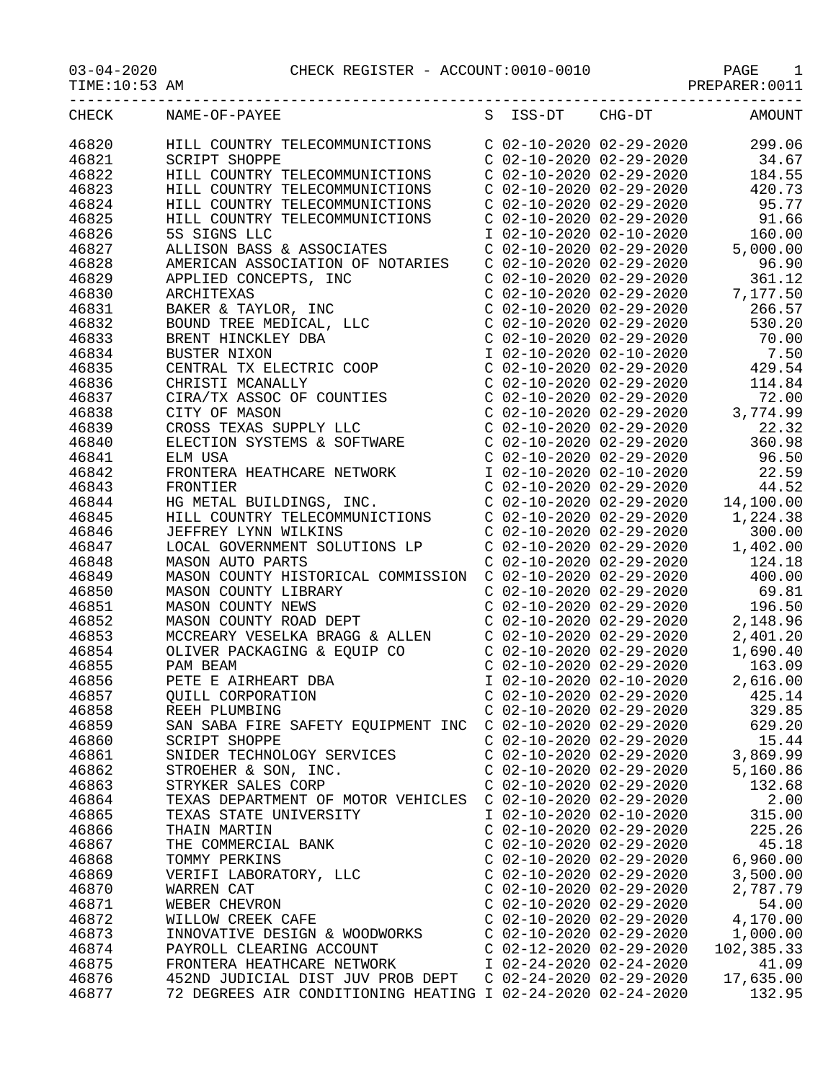|                | CHECK NAME-OF-PAYEE                                                                                                                                                                                                                                                     |                           |                                                                                                                                                                                                            | S ISS-DT CHG-DT AMOUNT                                                                                                                                                                                                                                  |
|----------------|-------------------------------------------------------------------------------------------------------------------------------------------------------------------------------------------------------------------------------------------------------------------------|---------------------------|------------------------------------------------------------------------------------------------------------------------------------------------------------------------------------------------------------|---------------------------------------------------------------------------------------------------------------------------------------------------------------------------------------------------------------------------------------------------------|
| 46820          | HILL COUNTRY TELECOMMUNICTIONS                                                                                                                                                                                                                                          |                           | C 02-10-2020 02-29-2020                                                                                                                                                                                    | 299.06                                                                                                                                                                                                                                                  |
| 46821          | SCRIPT SHOPPE                                                                                                                                                                                                                                                           |                           |                                                                                                                                                                                                            |                                                                                                                                                                                                                                                         |
| 46822          | HILL COUNTRY TELECOMMUNICTIONS                                                                                                                                                                                                                                          |                           |                                                                                                                                                                                                            | $\begin{array}{llll} \mbox{C} & 02-10-2020 & 02-29-2020 & 34.67 \\ \mbox{C} & 02-10-2020 & 02-29-2020 & 184.55 \\ \mbox{C} & 02-10-2020 & 02-29-2020 & 420.73 \end{array}$                                                                              |
| 46823          | HILL COUNTRY TELECOMMUNICTIONS                                                                                                                                                                                                                                          |                           |                                                                                                                                                                                                            |                                                                                                                                                                                                                                                         |
| 46824          | HILL COUNTRY TELECOMMUNICTIONS                                                                                                                                                                                                                                          |                           |                                                                                                                                                                                                            | C 02-10-2020 02-29-2020 95.77                                                                                                                                                                                                                           |
| 46825          | HILL COUNTRY TELECOMMUNICTIONS                                                                                                                                                                                                                                          |                           | C 02-10-2020 02-29-2020                                                                                                                                                                                    | 91.66                                                                                                                                                                                                                                                   |
| 46826          | 5S SIGNS LLC                                                                                                                                                                                                                                                            |                           | $\begin{array}{lllllll} \text{I} & 02-10-2020 & 02-10-2020 \\ \text{C} & 02-10-2020 & 02-29-2020 & 5 \\ \text{C} & 02-10-2020 & 02-29-2020 & \text{C} \\ \text{C} & 02-10-2020 & 02-29-2020 & \end{array}$ | 160.00                                                                                                                                                                                                                                                  |
| 46827          | 5S SIGNS LLC<br>ALLISON BASS & ASSOCIATES                                                                                                                                                                                                                               |                           |                                                                                                                                                                                                            | 5,000.00                                                                                                                                                                                                                                                |
| 46828          | AMERICAN ASSOCIATION OF NOTARIES                                                                                                                                                                                                                                        |                           |                                                                                                                                                                                                            | 96.90                                                                                                                                                                                                                                                   |
| 46829          |                                                                                                                                                                                                                                                                         |                           |                                                                                                                                                                                                            | 361.12                                                                                                                                                                                                                                                  |
| 46830          |                                                                                                                                                                                                                                                                         |                           |                                                                                                                                                                                                            | C 02-10-2020 02-29-2020 7,177.50                                                                                                                                                                                                                        |
| 46831          |                                                                                                                                                                                                                                                                         |                           | $C$ 02-10-2020 02-29-2020                                                                                                                                                                                  | 266.57                                                                                                                                                                                                                                                  |
| 46832          |                                                                                                                                                                                                                                                                         |                           |                                                                                                                                                                                                            |                                                                                                                                                                                                                                                         |
| 46833          |                                                                                                                                                                                                                                                                         |                           |                                                                                                                                                                                                            |                                                                                                                                                                                                                                                         |
| 46834          |                                                                                                                                                                                                                                                                         |                           |                                                                                                                                                                                                            |                                                                                                                                                                                                                                                         |
| 46835          |                                                                                                                                                                                                                                                                         |                           |                                                                                                                                                                                                            | $\begin{array}{cccc} \texttt{C} & 02-10-2020 & 02-29-2020 & 530.20 \\ \texttt{C} & 02-10-2020 & 02-29-2020 & 70.00 \\ \texttt{I} & 02-10-2020 & 02-10-2020 & 7.50 \\ \texttt{C} & 02-10-2020 & 02-29-2020 & 429.54 \end{array}$                         |
| 46836          |                                                                                                                                                                                                                                                                         |                           |                                                                                                                                                                                                            |                                                                                                                                                                                                                                                         |
| 46837          |                                                                                                                                                                                                                                                                         |                           |                                                                                                                                                                                                            |                                                                                                                                                                                                                                                         |
| 46838          |                                                                                                                                                                                                                                                                         |                           |                                                                                                                                                                                                            |                                                                                                                                                                                                                                                         |
| 46839          |                                                                                                                                                                                                                                                                         |                           |                                                                                                                                                                                                            | 22.32                                                                                                                                                                                                                                                   |
| 46840          |                                                                                                                                                                                                                                                                         |                           |                                                                                                                                                                                                            | $C$ 02-10-2020 02-29-2020<br>$C$ 02-10-2020 02-29-2020<br>$C$ 02-10-2020 02-29-2020<br>$C$ 02-10-2020 02-29-2020<br>$C$ 02-10-2020 02-29-2020<br>$C$ 02-10-2020 02-29-2020<br>$C$ 02-10-2020 02-29-2020<br>$C$ 02-10-2020 02-29-2020<br>$C$ 0<br>360.98 |
| 46841          | AMERICAN ASSOCIATION OF NOTARIES<br>APPLIED CONCEPTS, INC<br>ARCHITEXAS<br>BAKER & TAYLOR, INC<br>BOUND TREE MEDICAL, LLC<br>BRENT HINCKLEY DBA<br>BUSTER NIXON<br>CENTRAL TX ELECTRIC COOP<br>CHRISTI MCANALLY<br>CIRA/TX ASSOC OF COUNTIES<br>CITY OF MASO<br>ELM USA |                           |                                                                                                                                                                                                            | C 02-10-2020 02-29-2020 96.50                                                                                                                                                                                                                           |
| 46842          | FRONTERA HEATHCARE NETWORK                                                                                                                                                                                                                                              |                           | I 02-10-2020 02-10-2020                                                                                                                                                                                    | 22.59                                                                                                                                                                                                                                                   |
| 46843          |                                                                                                                                                                                                                                                                         |                           |                                                                                                                                                                                                            |                                                                                                                                                                                                                                                         |
| 46844          |                                                                                                                                                                                                                                                                         |                           |                                                                                                                                                                                                            |                                                                                                                                                                                                                                                         |
| 46845          |                                                                                                                                                                                                                                                                         |                           |                                                                                                                                                                                                            |                                                                                                                                                                                                                                                         |
| 46846          | - 2020 02-10-2020 02-29-2020<br>HG METAL BUILDINGS, INC.<br>HILL COUNTRY TELECOMMUNICTIONS<br>JEFFREY LYNN WILKINS<br>LOCAL GOVERNMENT SOLUTIONS C 02-10-2020 02-29-2020<br>C 02-10-2020 02-29-2020<br>C 02-10-2020 02-29-2020<br>C 02-10-20                            |                           |                                                                                                                                                                                                            |                                                                                                                                                                                                                                                         |
| 46847          | LOCAL GOVERNMENT SOLUTIONS LP  C 02-10-2020 02-29-2020                                                                                                                                                                                                                  |                           |                                                                                                                                                                                                            | 1,402.00                                                                                                                                                                                                                                                |
| 46848          | MASON AUTO PARTS                                                                                                                                                                                                                                                        |                           | C 02-10-2020 02-29-2020                                                                                                                                                                                    | 124.18                                                                                                                                                                                                                                                  |
| 46849          |                                                                                                                                                                                                                                                                         |                           |                                                                                                                                                                                                            | 400.00                                                                                                                                                                                                                                                  |
| 46850          | MASON COUNTY HISTORICAL COMMISSION  C 02-10-2020 02-29-2020<br>MASON COUNTY LIBRARY  C 02-10-2020 02-29-2020                                                                                                                                                            |                           |                                                                                                                                                                                                            | 69.81                                                                                                                                                                                                                                                   |
| 46851          | MASON COUNTY LIBRARY<br>MASON COUNTY NEWS<br>MASON COUNTY ROAD DEPT                                                                                                                                                                                                     |                           | $C$ 02-10-2020 02-29-2020                                                                                                                                                                                  | 196.50                                                                                                                                                                                                                                                  |
| 46852          |                                                                                                                                                                                                                                                                         |                           |                                                                                                                                                                                                            | $C$ 02-10-2020 02-29-2020 2,148.96                                                                                                                                                                                                                      |
| 46853          |                                                                                                                                                                                                                                                                         |                           |                                                                                                                                                                                                            | 2,401.20                                                                                                                                                                                                                                                |
| 46854          | MCCREARY VESELKA BRAGG & ALLEN $C$ 02-10-2020 02-29-2020                                                                                                                                                                                                                |                           |                                                                                                                                                                                                            | 1,690.40                                                                                                                                                                                                                                                |
| 46855          | OLIVER PACKAGING & EQUIP CO<br>PAM BEAM                                                                                                                                                                                                                                 |                           |                                                                                                                                                                                                            | 163.09                                                                                                                                                                                                                                                  |
| 46856          | PETE E AIRHEART DBA                                                                                                                                                                                                                                                     |                           |                                                                                                                                                                                                            | 2,616.00                                                                                                                                                                                                                                                |
| 46857          | OUILL CORPORATION                                                                                                                                                                                                                                                       |                           | $C$ 02-10-2020 02-29-2020                                                                                                                                                                                  | 425.14                                                                                                                                                                                                                                                  |
|                |                                                                                                                                                                                                                                                                         | $C$ 02-10-2020 02-29-2020 |                                                                                                                                                                                                            |                                                                                                                                                                                                                                                         |
| 46858<br>46859 | REEH PLUMBING<br>SAN SABA FIRE SAFETY EQUIPMENT INC C 02-10-2020 02-29-2020                                                                                                                                                                                             |                           |                                                                                                                                                                                                            | 329.85<br>629.20                                                                                                                                                                                                                                        |
| 46860          | <b>SCRIPT SHOPPE</b>                                                                                                                                                                                                                                                    | $C$ 02-10-2020 02-29-2020 |                                                                                                                                                                                                            | 15.44                                                                                                                                                                                                                                                   |
| 46861          | SNIDER TECHNOLOGY SERVICES                                                                                                                                                                                                                                              | $C$ 02-10-2020 02-29-2020 |                                                                                                                                                                                                            | 3,869.99                                                                                                                                                                                                                                                |
| 46862          |                                                                                                                                                                                                                                                                         | $C$ 02-10-2020 02-29-2020 |                                                                                                                                                                                                            |                                                                                                                                                                                                                                                         |
| 46863          | STROEHER & SON, INC.<br>STRYKER SALES CORP                                                                                                                                                                                                                              | $C$ 02-10-2020 02-29-2020 |                                                                                                                                                                                                            | 5,160.86<br>132.68                                                                                                                                                                                                                                      |
| 46864          |                                                                                                                                                                                                                                                                         | $C$ 02-10-2020 02-29-2020 |                                                                                                                                                                                                            | 2.00                                                                                                                                                                                                                                                    |
|                | TEXAS DEPARTMENT OF MOTOR VEHICLES                                                                                                                                                                                                                                      | I 02-10-2020 02-10-2020   |                                                                                                                                                                                                            |                                                                                                                                                                                                                                                         |
| 46865          | TEXAS STATE UNIVERSITY                                                                                                                                                                                                                                                  | $C$ 02-10-2020 02-29-2020 |                                                                                                                                                                                                            | 315.00<br>225.26                                                                                                                                                                                                                                        |
| 46866          | THAIN MARTIN                                                                                                                                                                                                                                                            |                           |                                                                                                                                                                                                            |                                                                                                                                                                                                                                                         |
| 46867          | THE COMMERCIAL BANK                                                                                                                                                                                                                                                     | $C$ 02-10-2020 02-29-2020 |                                                                                                                                                                                                            | 45.18                                                                                                                                                                                                                                                   |
| 46868          | TOMMY PERKINS                                                                                                                                                                                                                                                           | $C$ 02-10-2020 02-29-2020 |                                                                                                                                                                                                            | 6,960.00                                                                                                                                                                                                                                                |
| 46869          | VERIFI LABORATORY, LLC                                                                                                                                                                                                                                                  | C 02-10-2020 02-29-2020   |                                                                                                                                                                                                            | 3,500.00                                                                                                                                                                                                                                                |
| 46870          | WARREN CAT                                                                                                                                                                                                                                                              | $C$ 02-10-2020 02-29-2020 |                                                                                                                                                                                                            | 2,787.79                                                                                                                                                                                                                                                |
| 46871          | WEBER CHEVRON                                                                                                                                                                                                                                                           | $C$ 02-10-2020 02-29-2020 |                                                                                                                                                                                                            | 54.00                                                                                                                                                                                                                                                   |
| 46872          | WILLOW CREEK CAFE                                                                                                                                                                                                                                                       | C 02-10-2020 02-29-2020   |                                                                                                                                                                                                            | 4,170.00                                                                                                                                                                                                                                                |
| 46873          | INNOVATIVE DESIGN & WOODWORKS                                                                                                                                                                                                                                           | C 02-10-2020 02-29-2020   |                                                                                                                                                                                                            | 1,000.00                                                                                                                                                                                                                                                |
| 46874          | PAYROLL CLEARING ACCOUNT                                                                                                                                                                                                                                                | C 02-12-2020 02-29-2020   |                                                                                                                                                                                                            | 102,385.33                                                                                                                                                                                                                                              |
| 46875          | FRONTERA HEATHCARE NETWORK                                                                                                                                                                                                                                              | I 02-24-2020 02-24-2020   |                                                                                                                                                                                                            | 41.09                                                                                                                                                                                                                                                   |
| 46876          | 452ND JUDICIAL DIST JUV PROB DEPT                                                                                                                                                                                                                                       | $C$ 02-24-2020 02-29-2020 |                                                                                                                                                                                                            | 17,635.00                                                                                                                                                                                                                                               |

46877 72 DEGREES AIR CONDITIONING HEATING I 02-24-2020 02-24-2020 132.95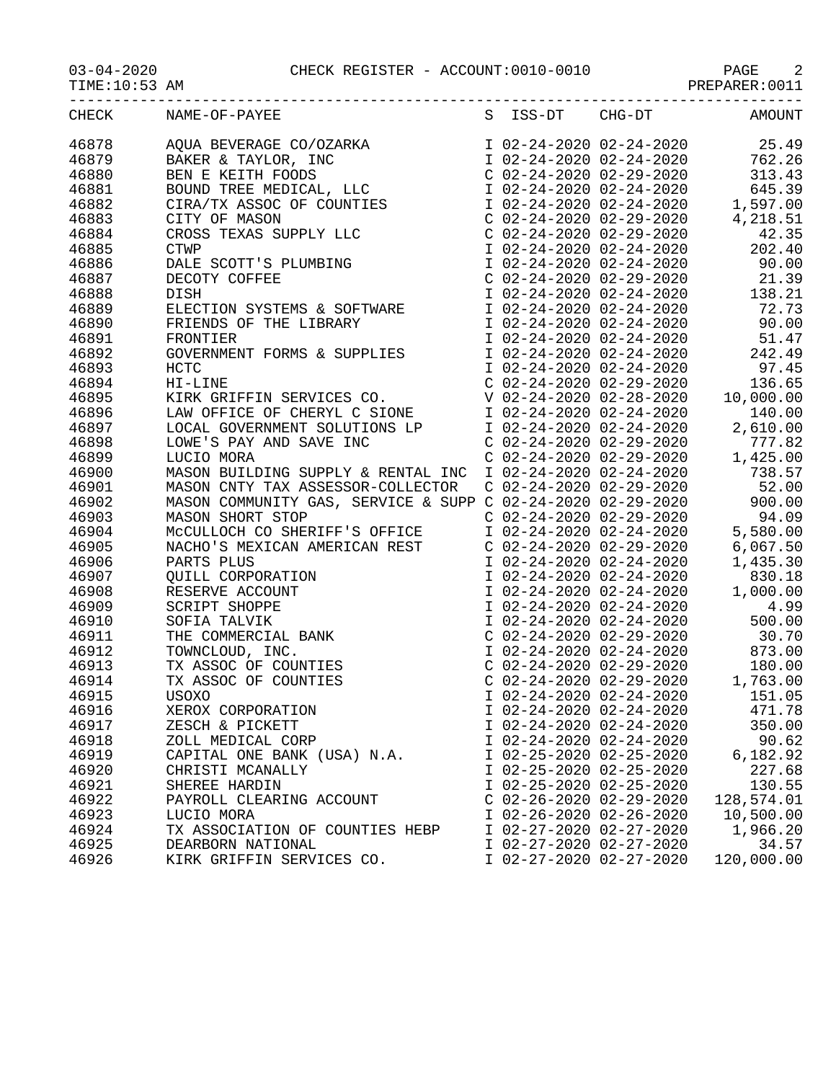03-04-2020 CHECK REGISTER - ACCOUNT:0010-0010 PAGE 2

| $3 - 04 - 2020$ |
|-----------------|
|-----------------|

| TIME:1<br>0:53 | AM | - ---- <i>-----</i> --- |
|----------------|----|-------------------------|
|                |    |                         |

| CHECK | NAME-OF-PAYEE                                                                                                                                                                                                                                                                                       | S | ISS-DT                    | CHG-DT                                                                          | AMOUNT                        |
|-------|-----------------------------------------------------------------------------------------------------------------------------------------------------------------------------------------------------------------------------------------------------------------------------------------------------|---|---------------------------|---------------------------------------------------------------------------------|-------------------------------|
| 46878 | AQUA BEVERAGE CO/OZARKA<br>BAKER & TAYLOR, INC<br>BEN E KEITH FOODS<br>BOUND TREE MEDICAL, LLC<br>CIRA/TX ASSOC OF COUNTIES<br>CITY OF MASON<br>CROSS TEXAS SUPPLY LLC<br>CTWP                                                                                                                      |   |                           |                                                                                 | I 02-24-2020 02-24-2020 25.49 |
| 46879 |                                                                                                                                                                                                                                                                                                     |   |                           | I 02-24-2020 02-24-2020                                                         | 762.26                        |
| 46880 |                                                                                                                                                                                                                                                                                                     |   |                           | C 02-24-2020 02-29-2020<br>I 02-24-2020 02-24-2020<br>I 02-24-2020 02-24-2020   | 313.43                        |
| 46881 |                                                                                                                                                                                                                                                                                                     |   |                           |                                                                                 | 645.39                        |
| 46882 |                                                                                                                                                                                                                                                                                                     |   |                           |                                                                                 | 1,597.00                      |
| 46883 |                                                                                                                                                                                                                                                                                                     |   |                           | $C$ 02-24-2020 02-29-2020                                                       | 4,218.51                      |
| 46884 |                                                                                                                                                                                                                                                                                                     |   |                           | $C$ 02-24-2020 02-29-2020                                                       | 42.35                         |
| 46885 |                                                                                                                                                                                                                                                                                                     |   |                           | I 02-24-2020 02-24-2020                                                         | 202.40                        |
| 46886 |                                                                                                                                                                                                                                                                                                     |   |                           | I 02-24-2020 02-24-2020                                                         | 90.00                         |
| 46887 |                                                                                                                                                                                                                                                                                                     |   |                           | $C$ 02-24-2020 02-29-2020                                                       | 21.39                         |
| 46888 | CTWP<br>DALE SCOTT'S PLUMBING<br>DECOTY COFFEE<br>DISH<br>DISH                                                                                                                                                                                                                                      |   |                           | I 02-24-2020 02-24-2020                                                         | 138.21                        |
| 46889 | ELECTION SYSTEMS & SOFTWARE                                                                                                                                                                                                                                                                         |   | I 02-24-2020 02-24-2020   |                                                                                 | 72.73                         |
| 46890 | FRIENDS OF THE LIBRARY                                                                                                                                                                                                                                                                              |   |                           | I 02-24-2020 02-24-2020                                                         | 90.00                         |
| 46891 | FRONTIER                                                                                                                                                                                                                                                                                            |   |                           | I 02-24-2020 02-24-2020                                                         | 51.47                         |
| 46892 |                                                                                                                                                                                                                                                                                                     |   |                           | I $02-24-2020$ $02-24-2020$                                                     | ∕ ۲۰⊥ د<br>242.49             |
| 46893 | GOVERNMENT FORMS & SUPPLIES<br>HOTE<br>HCTC                                                                                                                                                                                                                                                         |   |                           |                                                                                 | I 02-24-2020 02-24-2020 97.45 |
| 46894 | HI-LINE                                                                                                                                                                                                                                                                                             |   |                           | $C$ 02-24-2020 02-29-2020                                                       | 136.65                        |
| 46895 | KIRK GRIFFIN SERVICES CO.                                                                                                                                                                                                                                                                           |   |                           | V 02-24-2020 02-28-2020                                                         | 10,000.00                     |
|       |                                                                                                                                                                                                                                                                                                     |   |                           | I 02-24-2020 02-24-2020                                                         |                               |
| 46896 | LAW OFFICE OF CHERYL C SIONE                                                                                                                                                                                                                                                                        |   |                           |                                                                                 | 140.00                        |
| 46897 |                                                                                                                                                                                                                                                                                                     |   |                           | I 02-24-2020 02-24-2020                                                         | 2,610.00                      |
| 46898 | LOCAL GOVERNMENT SOLUTIONS LP<br>LOWE'S PAY AND SAVE INC<br>LUCTO MORA                                                                                                                                                                                                                              |   |                           | $C$ 02-24-2020 02-29-2020                                                       | 777.82                        |
| 46899 | LUCIO MORA                                                                                                                                                                                                                                                                                          |   |                           | $C$ 02-24-2020 02-29-2020                                                       | 1,425.00                      |
| 46900 | MASON BUILDING SUPPLY & RENTAL INC                                                                                                                                                                                                                                                                  |   | I 02-24-2020 02-24-2020   |                                                                                 | 738.57                        |
| 46901 | MASON CNTY TAX ASSESSOR-COLLECTOR                                                                                                                                                                                                                                                                   |   |                           | $C$ 02-24-2020 02-29-2020                                                       | 52.00                         |
| 46902 | MASON COMMUNITY GAS, SERVICE & SUPP C 02-24-2020 02-29-2020                                                                                                                                                                                                                                         |   |                           |                                                                                 | 900.00                        |
| 46903 | MASON SHORT STOP                                                                                                                                                                                                                                                                                    |   |                           | $C$ 02-24-2020 02-29-2020<br>C 02-24-2020 02-29-2020<br>I 02-24-2020 02-24-2020 | 94.09                         |
| 46904 | MCCULLOCH CO SHERIFF'S OFFICE<br>MCCULLOCH CO SHERIFF'S OFFICE<br>NACHO'S MEXICAN AMERICAN REST<br>PARTS PLUS<br>QUILL CORPORATION<br>RESERVE ACCOUNT<br>SCRIPT SHOPPE<br>SOFIA TALVIK<br>THE COMMERCIAL BANK<br>TOWNCLOUD, INC.<br>TX ASSOC OF COUNTIES<br>USOXO<br>XEROX CORPORATION<br>ZESCH & P |   |                           |                                                                                 | 5,580.00                      |
| 46905 |                                                                                                                                                                                                                                                                                                     |   |                           | $C$ 02-24-2020 02-29-2020                                                       | 6,067.50                      |
| 46906 |                                                                                                                                                                                                                                                                                                     |   |                           | I 02-24-2020 02-24-2020                                                         | 1,435.30                      |
| 46907 |                                                                                                                                                                                                                                                                                                     |   |                           | I 02-24-2020 02-24-2020                                                         | 830.18                        |
| 46908 |                                                                                                                                                                                                                                                                                                     |   |                           | I 02-24-2020 02-24-2020                                                         | 1,000.00                      |
| 46909 |                                                                                                                                                                                                                                                                                                     |   |                           | I 02-24-2020 02-24-2020                                                         | 4.99                          |
| 46910 |                                                                                                                                                                                                                                                                                                     |   |                           | I 02-24-2020 02-24-2020                                                         | 500.00                        |
| 46911 |                                                                                                                                                                                                                                                                                                     |   |                           | $C$ 02-24-2020 02-29-2020                                                       | 30.70                         |
| 46912 |                                                                                                                                                                                                                                                                                                     |   |                           | I 02-24-2020 02-24-2020                                                         | 873.00                        |
| 46913 |                                                                                                                                                                                                                                                                                                     |   |                           | C 02-24-2020 02-29-2020<br>C 02-24-2020 02-29-2020                              | 180.00                        |
| 46914 |                                                                                                                                                                                                                                                                                                     |   |                           |                                                                                 | 1,763.00                      |
| 46915 |                                                                                                                                                                                                                                                                                                     |   |                           | I 02-24-2020 02-24-2020                                                         | 151.05                        |
| 46916 |                                                                                                                                                                                                                                                                                                     |   |                           | I 02-24-2020 02-24-2020                                                         | 471.78                        |
| 46917 | ZESCH & PICKETT                                                                                                                                                                                                                                                                                     |   |                           | I 02-24-2020 02-24-2020                                                         | 350.00                        |
| 46918 | ZOLL MEDICAL CORP                                                                                                                                                                                                                                                                                   |   | I 02-24-2020 02-24-2020   |                                                                                 | 90.62                         |
| 46919 | CAPITAL ONE BANK (USA) N.A.                                                                                                                                                                                                                                                                         |   | I 02-25-2020 02-25-2020   |                                                                                 | 6,182.92                      |
| 46920 | CHRISTI MCANALLY                                                                                                                                                                                                                                                                                    |   | I 02-25-2020 02-25-2020   |                                                                                 | 227.68                        |
| 46921 | SHEREE HARDIN                                                                                                                                                                                                                                                                                       |   | I 02-25-2020 02-25-2020   |                                                                                 | 130.55                        |
| 46922 | PAYROLL CLEARING ACCOUNT                                                                                                                                                                                                                                                                            |   | $C$ 02-26-2020 02-29-2020 |                                                                                 | 128,574.01                    |
| 46923 | LUCIO MORA                                                                                                                                                                                                                                                                                          |   | I 02-26-2020 02-26-2020   |                                                                                 | 10,500.00                     |
| 46924 | TX ASSOCIATION OF COUNTIES HEBP                                                                                                                                                                                                                                                                     |   | I 02-27-2020 02-27-2020   |                                                                                 | 1,966.20                      |
| 46925 | DEARBORN NATIONAL                                                                                                                                                                                                                                                                                   |   | I 02-27-2020 02-27-2020   |                                                                                 | 34.57                         |
| 46926 | KIRK GRIFFIN SERVICES CO.                                                                                                                                                                                                                                                                           |   | I 02-27-2020 02-27-2020   |                                                                                 | 120,000.00                    |